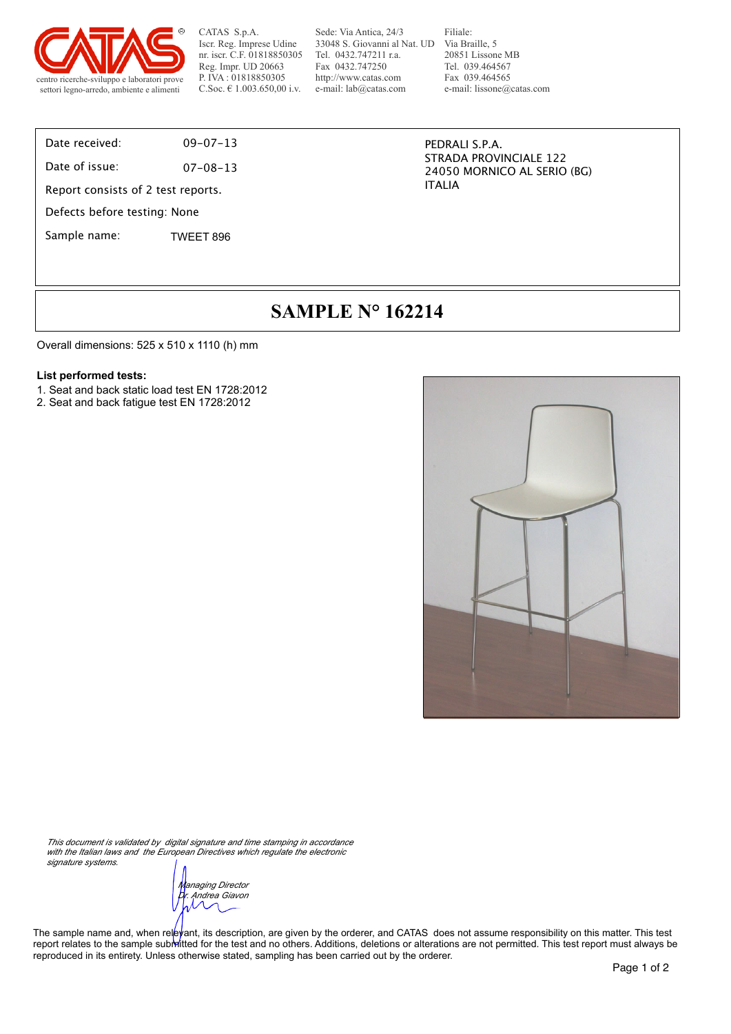

Sede: Via Antica, 24/3 33048 S. Giovanni al Nat. UD Tel. 0432.747211 r.a. Fax 0432.747250 http://www.catas.com e-mail: lab@catas.com

Filiale: Via Braille, 5 20851 Lissone MB Tel. 039.464567 Fax 039.464565 e-mail: lissone@catas.com

Date received: 09-07-13

Date of issue: 07-08-13

Report consists of 2 test reports.

Defects before testing: None

Sample name: TWEET 896

PEDRALI S.P.A. STRADA PROVINCIALE 122 24050 MORNICO AL SERIO (BG) ITALIA

## **SAMPLE N° 162214**

Overall dimensions: 525 x 510 x 1110 (h) mm

#### **List performed tests:**

- 1. Seat and back static load test EN 1728:2012
- 2. Seat and back fatigue test EN 1728:2012



*This document is validated by digital signature and time stamping in accordance with the Italian laws and the European Directives which regulate the electronic* 

*signature systems.*

*Managing Director Dr. Andrea Giavon*

The sample name and, when relevant, its description, are given by the orderer, and CATAS does not assume responsibility on this matter. This test report relates to the sample submitted for the test and no others. Additions, deletions or alterations are not permitted. This test report must always be reproduced in its entirety. Unless otherwise stated, sampling has been carried out by the orderer.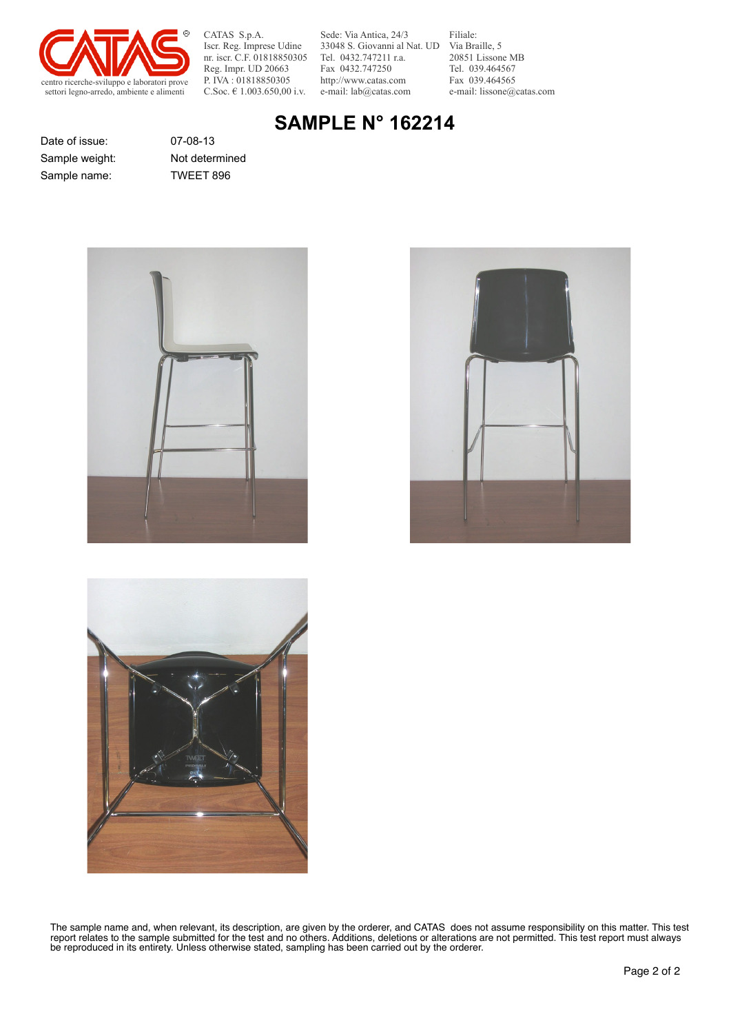

Sede: Via Antica, 24/3 33048 S. Giovanni al Nat. UD Tel. 0432.747211 r.a. Fax 0432.747250 http://www.catas.com e-mail: lab@catas.com

Filiale: Via Braille, 5 20851 Lissone MB Tel. 039.464567 Fax 039.464565 e-mail: lissone@catas.com

# **SAMPLE N° 162214**

Date of issue: 07-08-13 Sample name: TWEET 896

Sample weight: Not determined







The sample name and, when relevant, its description, are given by the orderer, and CATAS does not assume responsibility on this matter. This test report relates to the sample submitted for the test and no others. Additions, deletions or alterations are not permitted. This test report must always be reproduced in its entirety. Unless otherwise stated, sampling has been carried out by the orderer.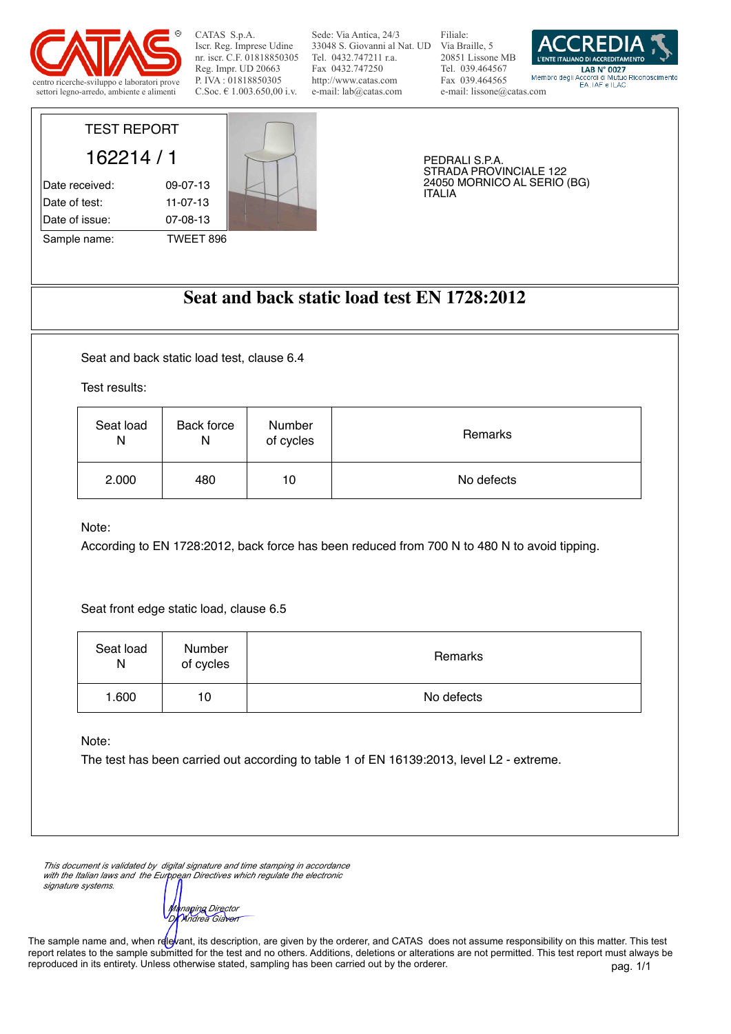

Sede: Via Antica, 24/3 33048 S. Giovanni al Nat. UD Via Braille, 5 Tel. 0432.747211 r.a. Fax 0432.747250 http://www.catas.com e-mail: lab@catas.com

Filiale: 20851 Lissone MB Tel. 039.464567 Fax 039.464565 e-mail: lissone@catas.com



|                        | PEDRALI S.P.A.                               |
|------------------------|----------------------------------------------|
|                        | STRADA PROVINCIALE 122                       |
|                        | 24050 MORNICO AL SERIO (BG)<br><b>ITALIA</b> |
|                        |                                              |
|                        |                                              |
|                        |                                              |
| $11-07-13$<br>07-08-13 | TWEET 896                                    |

### **Seat and back static load test EN 1728:2012**

Seat and back static load test, clause 6.4

Test results:

| Seat load | Back force | Number    | Remarks    |
|-----------|------------|-----------|------------|
| N         | N          | of cycles |            |
| 2.000     | 480        | 10        | No defects |

Note:

According to EN 1728:2012, back force has been reduced from 700 N to 480 N to avoid tipping.

Seat front edge static load, clause 6.5

| Seat load<br>N | Number<br>of cycles | Remarks    |
|----------------|---------------------|------------|
| 1.600          | 10                  | No defects |

Note:

The test has been carried out according to table 1 of EN 16139:2013, level L2 - extreme.

*This document is validated by digital signature and time stamping in accordance*  with the Italian laws and the European Directives which regulate the electronic *signature systems.*

*Managing Director Dr. Andrea Giavon*

The sample name and, when relevant, its description, are given by the orderer, and CATAS does not assume responsibility on this matter. This test report relates to the sample submitted for the test and no others. Additions, deletions or alterations are not permitted. This test report must always be reproduced in its entirety. Unless otherwise stated, sampling has been carried out by the orderer.